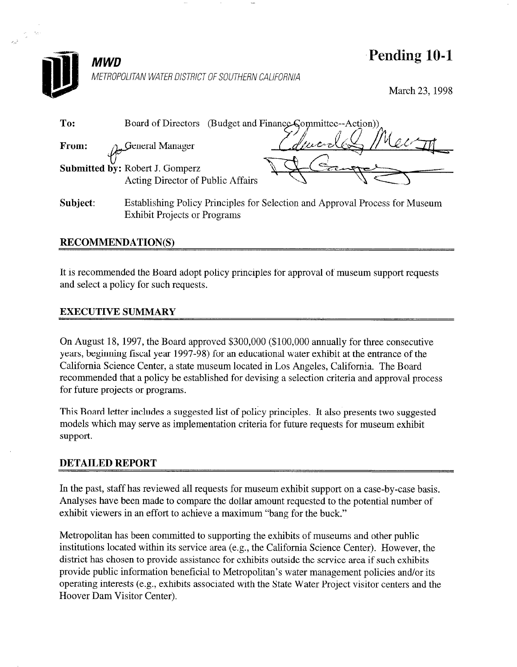

Exhibit Projects or Programs

Pending 10-1

March 23, 1998

| To:      | (Budget and Finance Committee--Action))<br>Board of Directors                |
|----------|------------------------------------------------------------------------------|
| From:    | n. General Manager                                                           |
|          | Submitted by: Robert J. Gomperz<br>Acting Director of Public Affairs         |
| Subject: | Establishing Policy Principles for Selection and Approval Process for Museum |

# RECOMMENDATION(S)

It is recommended the Board adopt policy principles for approval of museum support requests and select a policy for such requests.

# EXECUTIVE SUMMARY

On August 18, 1997, the Board approved \$300,000 (\$100,000 annually for three consecutive years, beginning fiscal year 1997-98) for an educational water exhibit at the entrance of the California Science Center, a state museum located in Los Angeles, California. The Board recommended that a policy be established for devising a selection criteria and approval process for future projects or programs.

This Board letter includes a suggested list of policy principles. It also presents two suggested models which may serve as implementation criteria for future requests for museum exhibit support.

### DETAILED REPORT

In the past, staff has reviewed all requests for museum exhibit support on a case-by-case basis. Analyses have been made to compare the dollar amount requested to the potential number of exhibit viewers in an effort to achieve a maximum "bang for the buck."

Metropolitan has been committed to supporting the exhibits of museums and other public institutions located within its service area (e.g., the California Science Center). However, the district has chosen to provide assistance for exhibits outside the service area if such exhibits provide public information beneficial to Metropolitan's water management policies and/or its operating interests (e.g., exhibits associated with the State Water Project visitor centers and the Hoover Dam Visitor Center).